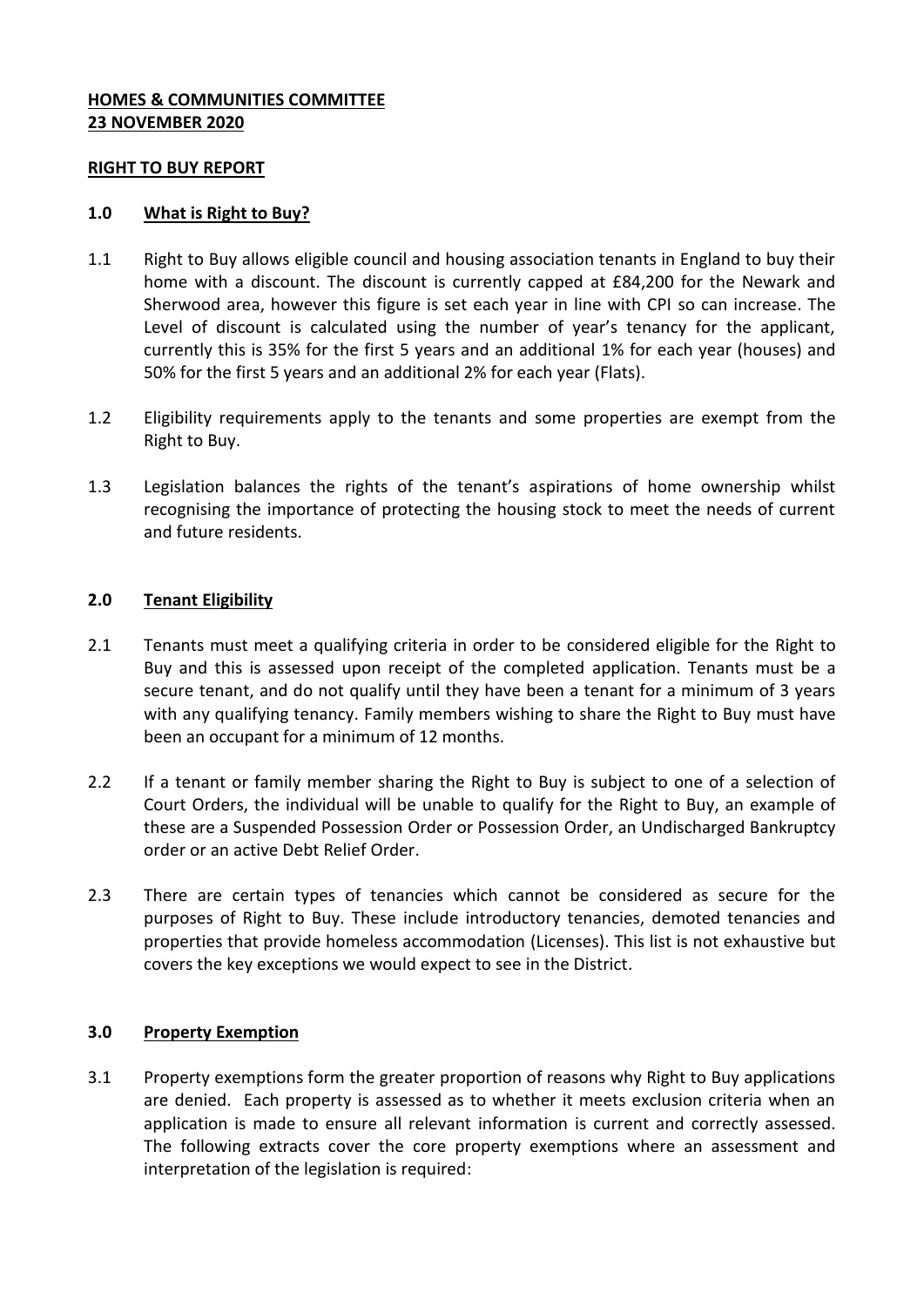#### **HOMES & COMMUNITIES COMMITTEE 23 NOVEMBER 2020**

#### **RIGHT TO BUY REPORT**

#### **1.0 What is Right to Buy?**

- 1.1 Right to Buy allows eligible council and housing association tenants in England to buy their home with a discount. The discount is currently capped at £84,200 for the Newark and Sherwood area, however this figure is set each year in line with CPI so can increase. The Level of discount is calculated using the number of year's tenancy for the applicant, currently this is 35% for the first 5 years and an additional 1% for each year (houses) and 50% for the first 5 years and an additional 2% for each year (Flats).
- 1.2 Eligibility requirements apply to the tenants and some properties are exempt from the Right to Buy.
- 1.3 Legislation balances the rights of the tenant's aspirations of home ownership whilst recognising the importance of protecting the housing stock to meet the needs of current and future residents.

#### **2.0 Tenant Eligibility**

- 2.1 Tenants must meet a qualifying criteria in order to be considered eligible for the Right to Buy and this is assessed upon receipt of the completed application. Tenants must be a secure tenant, and do not qualify until they have been a tenant for a minimum of 3 years with any qualifying tenancy. Family members wishing to share the Right to Buy must have been an occupant for a minimum of 12 months.
- 2.2 If a tenant or family member sharing the Right to Buy is subject to one of a selection of Court Orders, the individual will be unable to qualify for the Right to Buy, an example of these are a Suspended Possession Order or Possession Order, an Undischarged Bankruptcy order or an active Debt Relief Order.
- 2.3 There are certain types of tenancies which cannot be considered as secure for the purposes of Right to Buy. These include introductory tenancies, demoted tenancies and properties that provide homeless accommodation (Licenses). This list is not exhaustive but covers the key exceptions we would expect to see in the District.

#### **3.0 Property Exemption**

3.1 Property exemptions form the greater proportion of reasons why Right to Buy applications are denied. Each property is assessed as to whether it meets exclusion criteria when an application is made to ensure all relevant information is current and correctly assessed. The following extracts cover the core property exemptions where an assessment and interpretation of the legislation is required: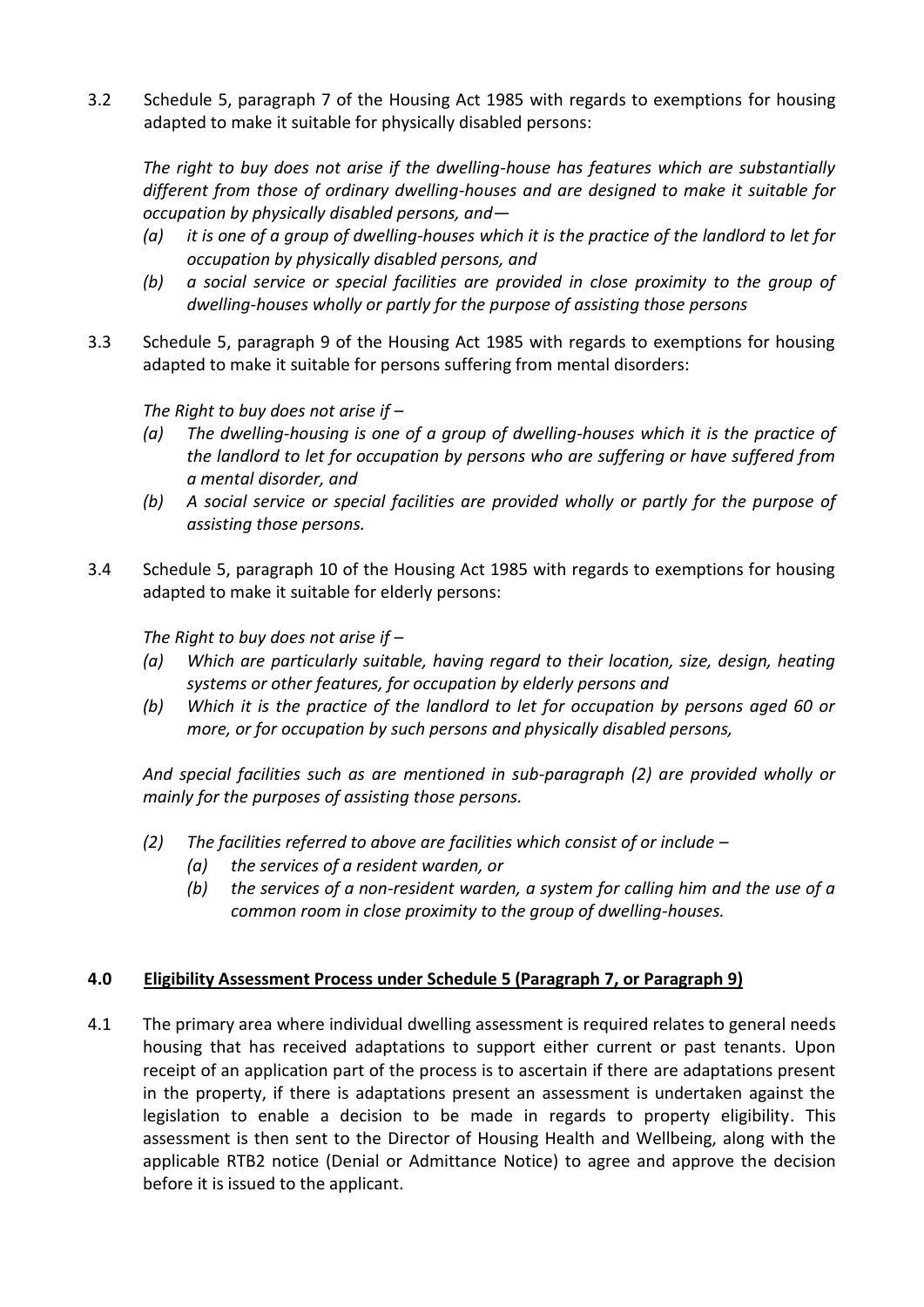3.2 Schedule 5, paragraph 7 of the Housing Act 1985 with regards to exemptions for housing adapted to make it suitable for physically disabled persons:

*The right to buy does not arise if the dwelling-house has features which are substantially different from those of ordinary dwelling-houses and are designed to make it suitable for occupation by physically disabled persons, and—*

- *(a) it is one of a group of dwelling-houses which it is the practice of the landlord to let for occupation by physically disabled persons, and*
- *(b) a social service or special facilities are provided in close proximity to the group of dwelling-houses wholly or partly for the purpose of assisting those persons*
- 3.3 Schedule 5, paragraph 9 of the Housing Act 1985 with regards to exemptions for housing adapted to make it suitable for persons suffering from mental disorders:

# *The Right to buy does not arise if –*

- *(a) The dwelling-housing is one of a group of dwelling-houses which it is the practice of the landlord to let for occupation by persons who are suffering or have suffered from a mental disorder, and*
- *(b) A social service or special facilities are provided wholly or partly for the purpose of assisting those persons.*
- 3.4 Schedule 5, paragraph 10 of the Housing Act 1985 with regards to exemptions for housing adapted to make it suitable for elderly persons:

*The Right to buy does not arise if –*

- *(a) Which are particularly suitable, having regard to their location, size, design, heating systems or other features, for occupation by elderly persons and*
- *(b) Which it is the practice of the landlord to let for occupation by persons aged 60 or more, or for occupation by such persons and physically disabled persons,*

*And special facilities such as are mentioned in sub-paragraph (2) are provided wholly or mainly for the purposes of assisting those persons.*

- *(2) The facilities referred to above are facilities which consist of or include –*
	- *(a) the services of a resident warden, or*
	- *(b) the services of a non-resident warden, a system for calling him and the use of a common room in close proximity to the group of dwelling-houses.*

# **4.0 Eligibility Assessment Process under Schedule 5 (Paragraph 7, or Paragraph 9)**

4.1 The primary area where individual dwelling assessment is required relates to general needs housing that has received adaptations to support either current or past tenants. Upon receipt of an application part of the process is to ascertain if there are adaptations present in the property, if there is adaptations present an assessment is undertaken against the legislation to enable a decision to be made in regards to property eligibility. This assessment is then sent to the Director of Housing Health and Wellbeing, along with the applicable RTB2 notice (Denial or Admittance Notice) to agree and approve the decision before it is issued to the applicant.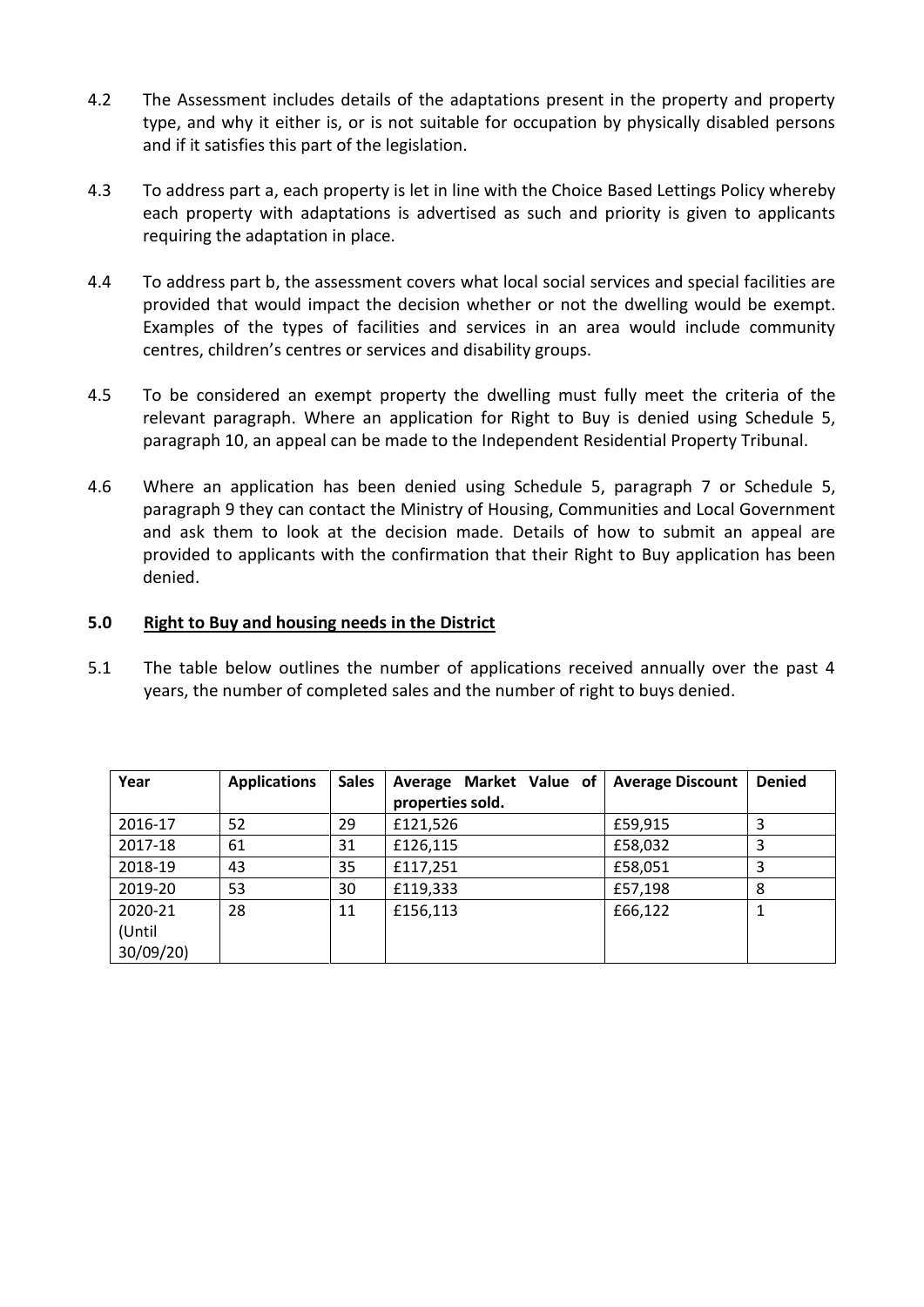- 4.2 The Assessment includes details of the adaptations present in the property and property type, and why it either is, or is not suitable for occupation by physically disabled persons and if it satisfies this part of the legislation.
- 4.3 To address part a, each property is let in line with the Choice Based Lettings Policy whereby each property with adaptations is advertised as such and priority is given to applicants requiring the adaptation in place.
- 4.4 To address part b, the assessment covers what local social services and special facilities are provided that would impact the decision whether or not the dwelling would be exempt. Examples of the types of facilities and services in an area would include community centres, children's centres or services and disability groups.
- 4.5 To be considered an exempt property the dwelling must fully meet the criteria of the relevant paragraph. Where an application for Right to Buy is denied using Schedule 5, paragraph 10, an appeal can be made to the Independent Residential Property Tribunal.
- 4.6 Where an application has been denied using Schedule 5, paragraph 7 or Schedule 5, paragraph 9 they can contact the Ministry of Housing, Communities and Local Government and ask them to look at the decision made. Details of how to submit an appeal are provided to applicants with the confirmation that their Right to Buy application has been denied.

# **5.0 Right to Buy and housing needs in the District**

5.1 The table below outlines the number of applications received annually over the past 4 years, the number of completed sales and the number of right to buys denied.

| Year     | <b>Applications</b> | <b>Sales</b> | Average Market Value of | <b>Average Discount</b> | <b>Denied</b> |
|----------|---------------------|--------------|-------------------------|-------------------------|---------------|
|          |                     |              | properties sold.        |                         |               |
| 2016-17  | 52                  | 29           | £121,526                | £59,915                 |               |
| 2017-18  | 61                  | 31           | £126,115                | £58,032                 |               |
| 2018-19  | 43                  | 35           | £117,251                | £58,051                 |               |
| 2019-20  | 53                  | 30           | £119,333                | £57,198                 | 8             |
| 2020-21  | 28                  | 11           | £156,113                | £66,122                 |               |
| (Until   |                     |              |                         |                         |               |
| 30/09/20 |                     |              |                         |                         |               |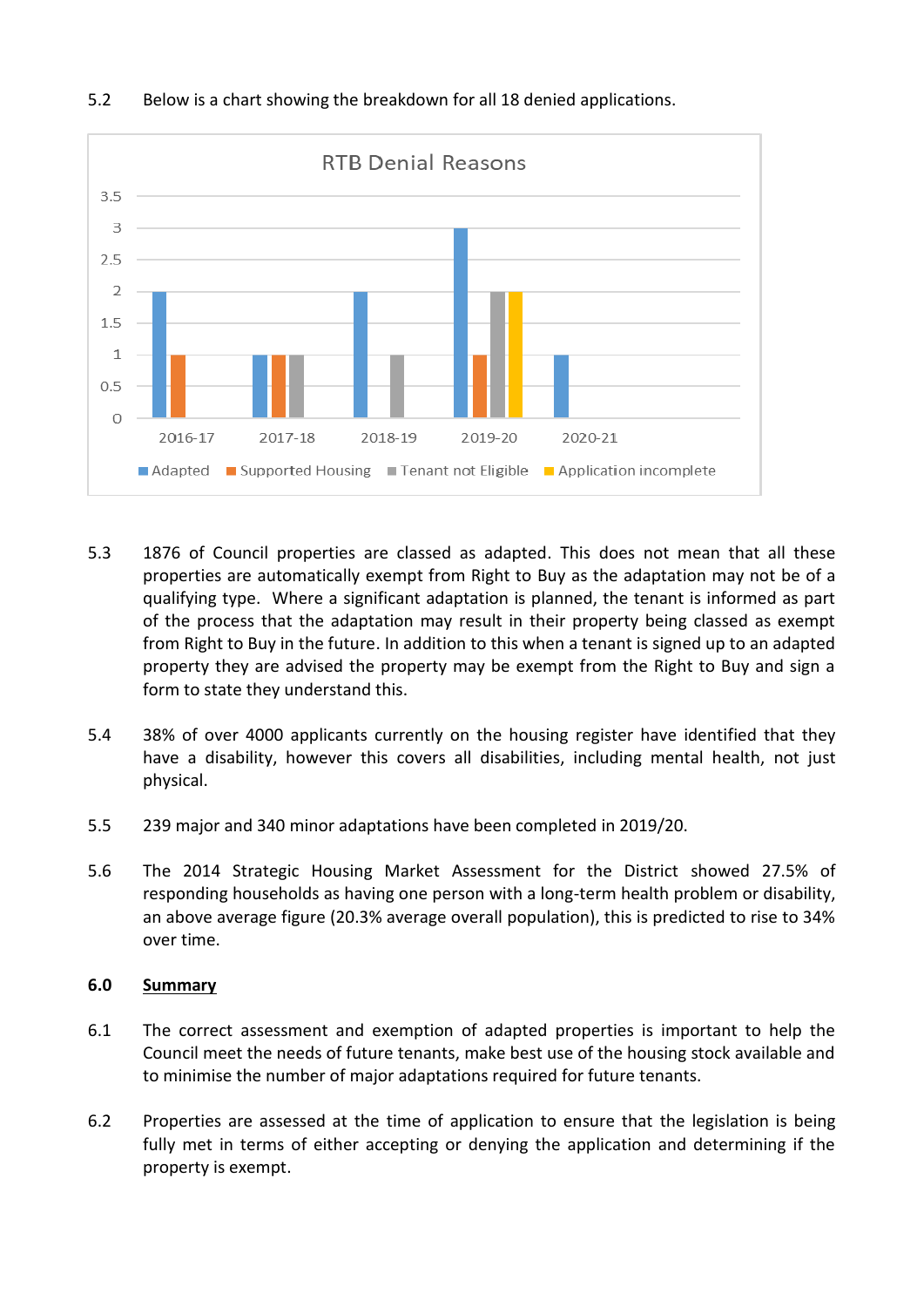

# 5.2 Below is a chart showing the breakdown for all 18 denied applications.

- 5.3 1876 of Council properties are classed as adapted. This does not mean that all these properties are automatically exempt from Right to Buy as the adaptation may not be of a qualifying type. Where a significant adaptation is planned, the tenant is informed as part of the process that the adaptation may result in their property being classed as exempt from Right to Buy in the future. In addition to this when a tenant is signed up to an adapted property they are advised the property may be exempt from the Right to Buy and sign a form to state they understand this.
- 5.4 38% of over 4000 applicants currently on the housing register have identified that they have a disability, however this covers all disabilities, including mental health, not just physical.
- 5.5 239 major and 340 minor adaptations have been completed in 2019/20.
- 5.6 The 2014 Strategic Housing Market Assessment for the District showed 27.5% of responding households as having one person with a long-term health problem or disability, an above average figure (20.3% average overall population), this is predicted to rise to 34% over time.

#### **6.0 Summary**

- 6.1 The correct assessment and exemption of adapted properties is important to help the Council meet the needs of future tenants, make best use of the housing stock available and to minimise the number of major adaptations required for future tenants.
- 6.2 Properties are assessed at the time of application to ensure that the legislation is being fully met in terms of either accepting or denying the application and determining if the property is exempt.